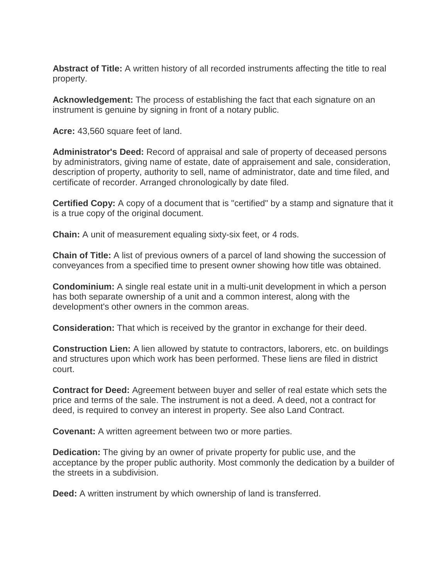**Abstract of Title:** A written history of all recorded instruments affecting the title to real property.

**Acknowledgement:** The process of establishing the fact that each signature on an instrument is genuine by signing in front of a notary public.

**Acre:** 43,560 square feet of land.

**Administrator's Deed:** Record of appraisal and sale of property of deceased persons by administrators, giving name of estate, date of appraisement and sale, consideration, description of property, authority to sell, name of administrator, date and time filed, and certificate of recorder. Arranged chronologically by date filed.

**Certified Copy:** A copy of a document that is "certified" by a stamp and signature that it is a true copy of the original document.

**Chain:** A unit of measurement equaling sixty-six feet, or 4 rods.

**Chain of Title:** A list of previous owners of a parcel of land showing the succession of conveyances from a specified time to present owner showing how title was obtained.

**Condominium:** A single real estate unit in a multi-unit development in which a person has both separate ownership of a unit and a common interest, along with the development's other owners in the common areas.

**Consideration:** That which is received by the grantor in exchange for their deed.

**Construction Lien:** A lien allowed by statute to contractors, laborers, etc. on buildings and structures upon which work has been performed. These liens are filed in district court.

**Contract for Deed:** Agreement between buyer and seller of real estate which sets the price and terms of the sale. The instrument is not a deed. A deed, not a contract for deed, is required to convey an interest in property. See also Land Contract.

**Covenant:** A written agreement between two or more parties.

**Dedication:** The giving by an owner of private property for public use, and the acceptance by the proper public authority. Most commonly the dedication by a builder of the streets in a subdivision.

**Deed:** A written instrument by which ownership of land is transferred.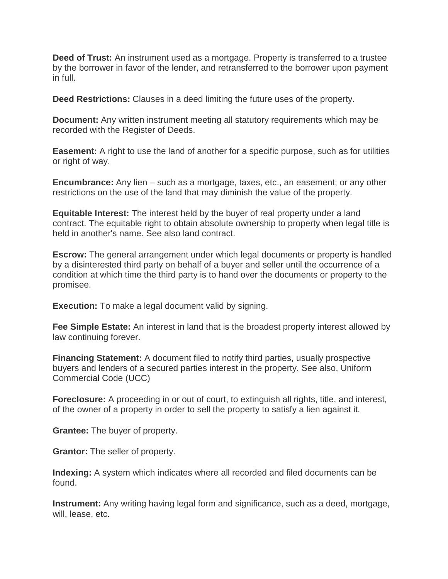**Deed of Trust:** An instrument used as a mortgage. Property is transferred to a trustee by the borrower in favor of the lender, and retransferred to the borrower upon payment in full.

**Deed Restrictions:** Clauses in a deed limiting the future uses of the property.

**Document:** Any written instrument meeting all statutory requirements which may be recorded with the Register of Deeds.

**Easement:** A right to use the land of another for a specific purpose, such as for utilities or right of way.

**Encumbrance:** Any lien – such as a mortgage, taxes, etc., an easement; or any other restrictions on the use of the land that may diminish the value of the property.

**Equitable Interest:** The interest held by the buyer of real property under a land contract. The equitable right to obtain absolute ownership to property when legal title is held in another's name. See also land contract.

**Escrow:** The general arrangement under which legal documents or property is handled by a disinterested third party on behalf of a buyer and seller until the occurrence of a condition at which time the third party is to hand over the documents or property to the promisee.

**Execution:** To make a legal document valid by signing.

**Fee Simple Estate:** An interest in land that is the broadest property interest allowed by law continuing forever.

**Financing Statement:** A document filed to notify third parties, usually prospective buyers and lenders of a secured parties interest in the property. See also, Uniform Commercial Code (UCC)

**Foreclosure:** A proceeding in or out of court, to extinguish all rights, title, and interest, of the owner of a property in order to sell the property to satisfy a lien against it.

**Grantee:** The buyer of property.

**Grantor:** The seller of property.

**Indexing:** A system which indicates where all recorded and filed documents can be found.

**Instrument:** Any writing having legal form and significance, such as a deed, mortgage, will, lease, etc.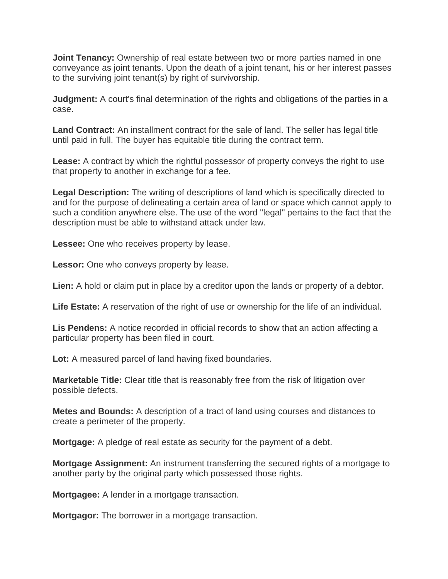**Joint Tenancy:** Ownership of real estate between two or more parties named in one conveyance as joint tenants. Upon the death of a joint tenant, his or her interest passes to the surviving joint tenant(s) by right of survivorship.

**Judgment:** A court's final determination of the rights and obligations of the parties in a case.

**Land Contract:** An installment contract for the sale of land. The seller has legal title until paid in full. The buyer has equitable title during the contract term.

**Lease:** A contract by which the rightful possessor of property conveys the right to use that property to another in exchange for a fee.

**Legal Description:** The writing of descriptions of land which is specifically directed to and for the purpose of delineating a certain area of land or space which cannot apply to such a condition anywhere else. The use of the word "legal" pertains to the fact that the description must be able to withstand attack under law.

**Lessee:** One who receives property by lease.

**Lessor:** One who conveys property by lease.

**Lien:** A hold or claim put in place by a creditor upon the lands or property of a debtor.

**Life Estate:** A reservation of the right of use or ownership for the life of an individual.

**Lis Pendens:** A notice recorded in official records to show that an action affecting a particular property has been filed in court.

**Lot:** A measured parcel of land having fixed boundaries.

**Marketable Title:** Clear title that is reasonably free from the risk of litigation over possible defects.

**Metes and Bounds:** A description of a tract of land using courses and distances to create a perimeter of the property.

**Mortgage:** A pledge of real estate as security for the payment of a debt.

**Mortgage Assignment:** An instrument transferring the secured rights of a mortgage to another party by the original party which possessed those rights.

**Mortgagee:** A lender in a mortgage transaction.

**Mortgagor:** The borrower in a mortgage transaction.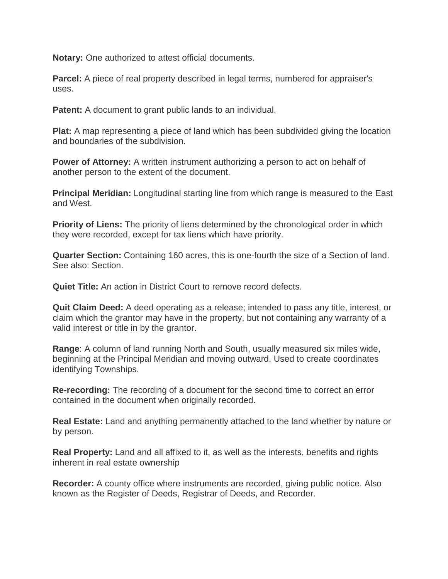**Notary:** One authorized to attest official documents.

**Parcel:** A piece of real property described in legal terms, numbered for appraiser's uses.

**Patent:** A document to grant public lands to an individual.

**Plat:** A map representing a piece of land which has been subdivided giving the location and boundaries of the subdivision.

**Power of Attorney:** A written instrument authorizing a person to act on behalf of another person to the extent of the document.

**Principal Meridian:** Longitudinal starting line from which range is measured to the East and West.

**Priority of Liens:** The priority of liens determined by the chronological order in which they were recorded, except for tax liens which have priority.

**Quarter Section:** Containing 160 acres, this is one-fourth the size of a Section of land. See also: Section.

**Quiet Title:** An action in District Court to remove record defects.

**Quit Claim Deed:** A deed operating as a release; intended to pass any title, interest, or claim which the grantor may have in the property, but not containing any warranty of a valid interest or title in by the grantor.

**Range**: A column of land running North and South, usually measured six miles wide, beginning at the Principal Meridian and moving outward. Used to create coordinates identifying Townships.

**Re-recording:** The recording of a document for the second time to correct an error contained in the document when originally recorded.

**Real Estate:** Land and anything permanently attached to the land whether by nature or by person.

**Real Property:** Land and all affixed to it, as well as the interests, benefits and rights inherent in real estate ownership

**Recorder:** A county office where instruments are recorded, giving public notice. Also known as the Register of Deeds, Registrar of Deeds, and Recorder.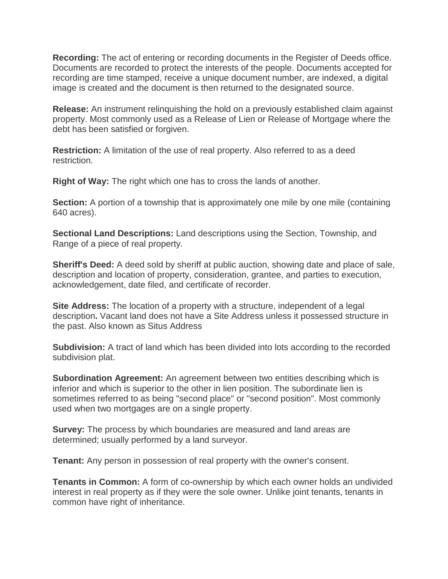**Recording:** The act of entering or recording documents in the Register of Deeds office. Documents are recorded to protect the interests of the people. Documents accepted for recording are time stamped, receive a unique document number, are indexed, a digital image is created and the document is then returned to the designated source.

**Release:** An instrument relinquishing the hold on a previously established claim against property. Most commonly used as a Release of Lien or Release of Mortgage where the debt has been satisfied or forgiven.

**Restriction:** A limitation of the use of real property. Also referred to as a deed restriction.

**Right of Way:** The right which one has to cross the lands of another.

**Section:** A portion of a township that is approximately one mile by one mile (containing 640 acres).

**Sectional Land Descriptions:** Land descriptions using the Section, Township, and Range of a piece of real property.

**Sheriff's Deed:** A deed sold by sheriff at public auction, showing date and place of sale, description and location of property, consideration, grantee, and parties to execution, acknowledgement, date filed, and certificate of recorder.

**Site Address:** The location of a property with a structure, independent of a legal description**.** Vacant land does not have a Site Address unless it possessed structure in the past. Also known as Situs Address

**Subdivision:** A tract of land which has been divided into lots according to the recorded subdivision plat.

**Subordination Agreement:** An agreement between two entities describing which is inferior and which is superior to the other in lien position. The subordinate lien is sometimes referred to as being "second place" or "second position". Most commonly used when two mortgages are on a single property.

**Survey:** The process by which boundaries are measured and land areas are determined; usually performed by a land surveyor.

**Tenant:** Any person in possession of real property with the owner's consent.

**Tenants in Common:** A form of co-ownership by which each owner holds an undivided interest in real property as if they were the sole owner. Unlike joint tenants, tenants in common have right of inheritance.